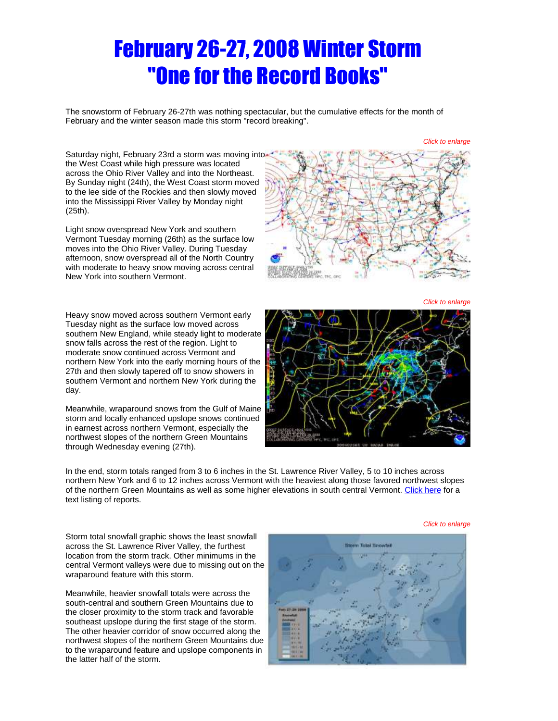# February 26-27, 2008 Winter Storm "One for the Record Books"

The snowstorm of February 26-27th was nothing spectacular, but the cumulative effects for the month of February and the winter season made this storm "record breaking".

*Click to enlarge*

*Click to enlarge*

Saturdaynight, February 23rd a storm was moving into the West Coast while high pressure was located across the Ohio River Valley and into the Northeast. By Sunday night (24th), the West Coast storm moved to the lee side of the Rockies and then slowly moved into the Mississippi River Valley by Monday night (25th).

Light snow overspread New York and southern Vermont Tuesday morning (26th) as the surface low moves into the Ohio River Valley. During Tuesday afternoon, snow overspread all of the North Country with moderate to heavy snow moving across central New York into southern Vermont.

Heavy snow moved across southern Vermont early Tuesday night as the surface low moved across southern New England, while steady light to moderate snow falls across the rest of the region. Light to moderate snow continued across Vermont and northern New York into the early morning hours of the 27th and then slowly tapered off to snow showers in southern Vermont and northern New York during the day.

Meanwhile, wraparound snows from the Gulf of Maine storm and locally enhanced upslope snows continued in earnest across northern Vermont, especially the northwest slopes of the northern Green Mountains through Wednesday evening (27th).





In the end, storm totals ranged from 3 to 6 inches in the St. Lawrence River Valley, 5 to 10 inches across northern New York and 6 to 12 inches across Vermont with the heaviest along those favored northwest slopes of the northern Green Mountains as well as some higher elevations in south central Vermont. [Click here](http://www.weather.gov/media/btv/events/26-27Feb2008/pns.pdf) for a text listing of reports.

Storm total snowfall graphic shows the least snowfall across the St. Lawrence River Valley, the furthest location from the storm track. Other minimums in the central Vermont valleys were due to missing out on the wraparound feature with this storm.

Meanwhile, heavier snowfall totals were across the south-central and southern Green Mountains due to the closer proximity to the storm track and favorable southeast upslope during the first stage of the storm. The other heavier corridor of snow occurred along the northwest slopes of the northern Green Mountains due to the wraparound feature and upslope components in the latter half of the storm.



#### *Click to enlarge*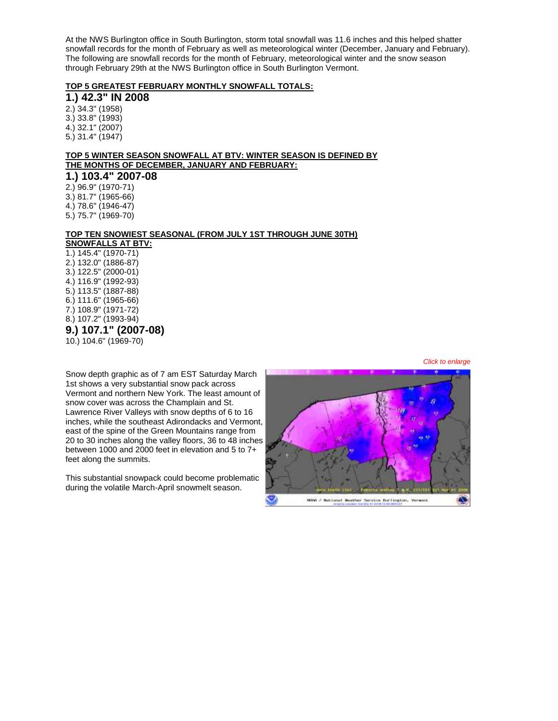At the NWS Burlington office in South Burlington, storm total snowfall was 11.6 inches and this helped shatter snowfall records for the month of February as well as meteorological winter (December, January and February). The following are snowfall records for the month of February, meteorological winter and the snow season through February 29th at the NWS Burlington office in South Burlington Vermont.

### **TOP 5 GREATEST FEBRUARY MONTHLY SNOWFALL TOTALS:**

**1.) 42.3" IN 2008** 2.) 34.3" (1958) 3.) 33.8" (1993) 4.) 32.1" (2007) 5.) 31.4" (1947)

# **TOP 5 WINTER SEASON SNOWFALL AT BTV: WINTER SEASON IS DEFINED BY THE MONTHS OF DECEMBER, JANUARY AND FEBRUARY:**

**1.) 103.4" 2007-08** 2.) 96.9" (1970-71) 3.) 81.7" (1965-66) 4.) 78.6" (1946-47) 5.) 75.7" (1969-70)

# **TOP TEN SNOWIEST SEASONAL (FROM JULY 1ST THROUGH JUNE 30TH)**

**SNOWFALLS AT BTV:** 1.) 145.4" (1970-71) 2.) 132.0" (1886-87) 3.) 122.5" (2000-01) 4.) 116.9" (1992-93) 5.) 113.5" (1887-88) 6.) 111.6" (1965-66) 7.) 108.9" (1971-72) 8.) 107.2" (1993-94) **9.) 107.1" (2007-08)** 10.) 104.6" (1969-70)

Snow depth graphic as of 7 am EST Saturday March 1st shows a very substantial snow pack across Vermont and northern New York. The least amount of snow cover was across the Champlain and St. Lawrence River Valleys with snow depths of 6 to 16 inches, while the southeast Adirondacks and Vermont, east of the spine of the Green Mountains range from 20 to 30 inches along the valley floors, 36 to 48 inches between 1000 and 2000 feet in elevation and 5 to 7+ feet along the summits.

This substantial snowpack could become problematic during the volatile March-April snowmelt season.



*Click to enlarge*